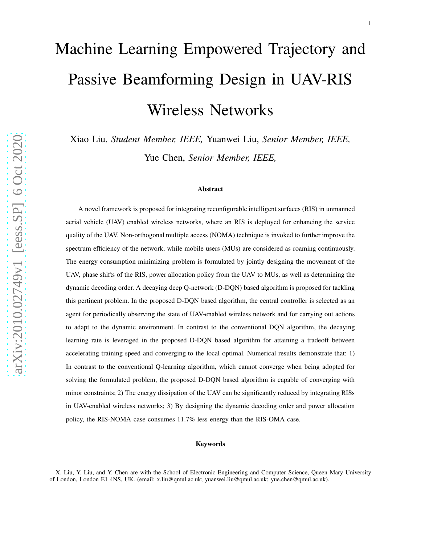# Machine Learning Empowered Trajectory and Passive Beamforming Design in UAV-RIS Wireless Networks

Xiao Liu, *Student Member, IEEE,* Yuanwei Liu, *Senior Member, IEEE,* Yue Chen, *Senior Member, IEEE,*

#### Abstract

A novel framework is proposed for integrating reconfigurable intelligent surfaces (RIS) in unmanned aerial vehicle (UAV) enabled wireless networks, where an RIS is deployed for enhancing the service quality of the UAV. Non-orthogonal multiple access (NOMA) technique is invoked to further improve the spectrum efficiency of the network, while mobile users (MUs) are considered as roaming continuously. The energy consumption minimizing problem is formulated by jointly designing the movement of the UAV, phase shifts of the RIS, power allocation policy from the UAV to MUs, as well as determining the dynamic decoding order. A decaying deep Q-network (D-DQN) based algorithm is proposed for tackling this pertinent problem. In the proposed D-DQN based algorithm, the central controller is selected as an agent for periodically observing the state of UAV-enabled wireless network and for carrying out actions to adapt to the dynamic environment. In contrast to the conventional DQN algorithm, the decaying learning rate is leveraged in the proposed D-DQN based algorithm for attaining a tradeoff between accelerating training speed and converging to the local optimal. Numerical results demonstrate that: 1) In contrast to the conventional Q-learning algorithm, which cannot converge when being adopted for solving the formulated problem, the proposed D-DQN based algorithm is capable of converging with minor constraints; 2) The energy dissipation of the UAV can be significantly reduced by integrating RISs in UAV-enabled wireless networks; 3) By designing the dynamic decoding order and power allocation policy, the RIS-NOMA case consumes 11.7% less energy than the RIS-OMA case.

#### Keywords

X. Liu, Y. Liu, and Y. Chen are with the School of Electronic Engineering and Computer Science, Queen Mary University of London, London E1 4NS, UK. (email: x.liu@qmul.ac.uk; yuanwei.liu@qmul.ac.uk; yue.chen@qmul.ac.uk).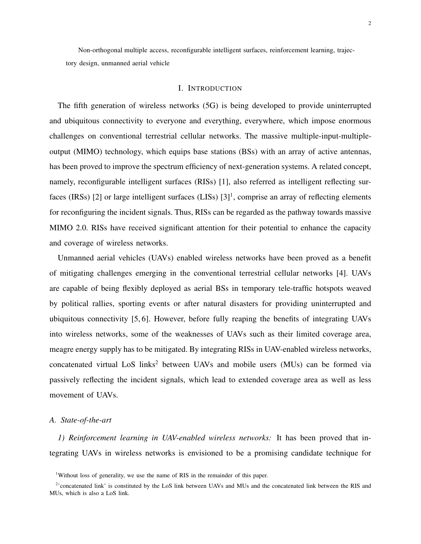Non-orthogonal multiple access, reconfigurable intelligent surfaces, reinforcement learning, trajectory design, unmanned aerial vehicle

## I. INTRODUCTION

The fifth generation of wireless networks (5G) is being developed to provide uninterrupted and ubiquitous connectivity to everyone and everything, everywhere, which impose enormous challenges on conventional terrestrial cellular networks. The massive multiple-input-multipleoutput (MIMO) technology, which equips base stations (BSs) with an array of active antennas, has been proved to improve the spectrum efficiency of next-generation systems. A related concept, namely, reconfigurable intelligent surfaces (RISs) [1], also referred as intelligent reflecting surfaces (IRSs) [2] or large intelligent surfaces (LISs)  $[3]$ <sup>1</sup>, comprise an array of reflecting elements for reconfiguring the incident signals. Thus, RISs can be regarded as the pathway towards massive MIMO 2.0. RISs have received significant attention for their potential to enhance the capacity and coverage of wireless networks.

Unmanned aerial vehicles (UAVs) enabled wireless networks have been proved as a benefit of mitigating challenges emerging in the conventional terrestrial cellular networks [4]. UAVs are capable of being flexibly deployed as aerial BSs in temporary tele-traffic hotspots weaved by political rallies, sporting events or after natural disasters for providing uninterrupted and ubiquitous connectivity [5, 6]. However, before fully reaping the benefits of integrating UAVs into wireless networks, some of the weaknesses of UAVs such as their limited coverage area, meagre energy supply has to be mitigated. By integrating RISs in UAV-enabled wireless networks, concatenated virtual LoS links<sup>2</sup> between UAVs and mobile users (MUs) can be formed via passively reflecting the incident signals, which lead to extended coverage area as well as less movement of UAVs.

#### *A. State-of-the-art*

*1) Reinforcement learning in UAV-enabled wireless networks:* It has been proved that integrating UAVs in wireless networks is envisioned to be a promising candidate technique for

<sup>&</sup>lt;sup>1</sup>Without loss of generality, we use the name of RIS in the remainder of this paper.

<sup>&</sup>lt;sup>2</sup>'concatenated link' is constituted by the LoS link between UAVs and MUs and the concatenated link between the RIS and MUs, which is also a LoS link.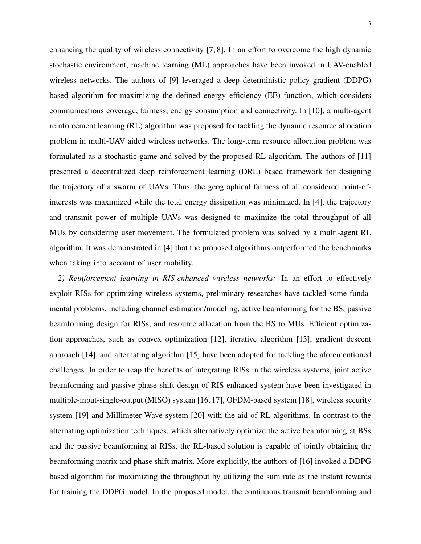enhancing the quality of wireless connectivity [7, 8]. In an effort to overcome the high dynamic stochastic environment, machine learning (ML) approaches have been invoked in UAV-enabled wireless networks. The authors of [9] leveraged a deep deterministic policy gradient (DDPG) based algorithm for maximizing the defined energy efficiency (EE) function, which considers communications coverage, fairness, energy consumption and connectivity. In [10], a multi-agent reinforcement learning (RL) algorithm was proposed for tackling the dynamic resource allocation problem in multi-UAV aided wireless networks. The long-term resource allocation problem was formulated as a stochastic game and solved by the proposed RL algorithm. The authors of [11] presented a decentralized deep reinforcement learning (DRL) based framework for designing the trajectory of a swarm of UAVs. Thus, the geographical fairness of all considered point-ofinterests was maximized while the total energy dissipation was minimized. In [4], the trajectory and transmit power of multiple UAVs was designed to maximize the total throughput of all MUs by considering user movement. The formulated problem was solved by a multi-agent RL algorithm. It was demonstrated in [4] that the proposed algorithms outperformed the benchmarks when taking into account of user mobility.

*2) Reinforcement learning in RIS-enhanced wireless networks:* In an effort to effectively exploit RISs for optimizing wireless systems, preliminary researches have tackled some fundamental problems, including channel estimation/modeling, active beamforming for the BS, passive beamforming design for RISs, and resource allocation from the BS to MUs. Efficient optimization approaches, such as convex optimization [12], iterative algorithm [13], gradient descent approach [14], and alternating algorithm [15] have been adopted for tackling the aforementioned challenges. In order to reap the benefits of integrating RISs in the wireless systems, joint active beamforming and passive phase shift design of RIS-enhanced system have been investigated in multiple-input-single-output (MISO) system [16, 17], OFDM-based system [18], wireless security system [19] and Millimeter Wave system [20] with the aid of RL algorithms. In contrast to the alternating optimization techniques, which alternatively optimize the active beamforming at BSs and the passive beamforming at RISs, the RL-based solution is capable of jointly obtaining the beamforming matrix and phase shift matrix. More explicitly, the authors of [16] invoked a DDPG based algorithm for maximizing the throughput by utilizing the sum rate as the instant rewards for training the DDPG model. In the proposed model, the continuous transmit beamforming and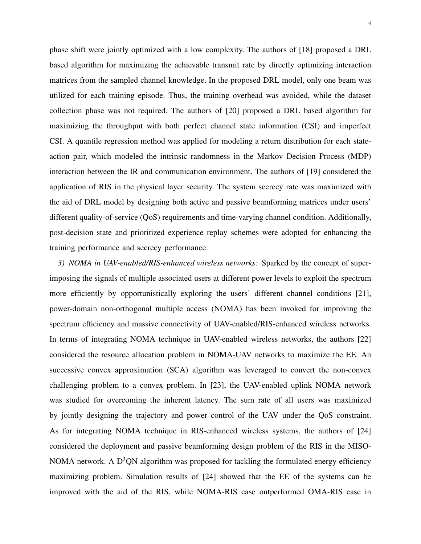phase shift were jointly optimized with a low complexity. The authors of [18] proposed a DRL based algorithm for maximizing the achievable transmit rate by directly optimizing interaction matrices from the sampled channel knowledge. In the proposed DRL model, only one beam was utilized for each training episode. Thus, the training overhead was avoided, while the dataset collection phase was not required. The authors of [20] proposed a DRL based algorithm for maximizing the throughput with both perfect channel state information (CSI) and imperfect CSI. A quantile regression method was applied for modeling a return distribution for each stateaction pair, which modeled the intrinsic randomness in the Markov Decision Process (MDP) interaction between the IR and communication environment. The authors of [19] considered the application of RIS in the physical layer security. The system secrecy rate was maximized with the aid of DRL model by designing both active and passive beamforming matrices under users' different quality-of-service (QoS) requirements and time-varying channel condition. Additionally, post-decision state and prioritized experience replay schemes were adopted for enhancing the

training performance and secrecy performance.

*3) NOMA in UAV-enabled/RIS-enhanced wireless networks:* Sparked by the concept of superimposing the signals of multiple associated users at different power levels to exploit the spectrum more efficiently by opportunistically exploring the users' different channel conditions [21], power-domain non-orthogonal multiple access (NOMA) has been invoked for improving the spectrum efficiency and massive connectivity of UAV-enabled/RIS-enhanced wireless networks. In terms of integrating NOMA technique in UAV-enabled wireless networks, the authors [22] considered the resource allocation problem in NOMA-UAV networks to maximize the EE. An successive convex approximation (SCA) algorithm was leveraged to convert the non-convex challenging problem to a convex problem. In [23], the UAV-enabled uplink NOMA network was studied for overcoming the inherent latency. The sum rate of all users was maximized by jointly designing the trajectory and power control of the UAV under the QoS constraint. As for integrating NOMA technique in RIS-enhanced wireless systems, the authors of [24] considered the deployment and passive beamforming design problem of the RIS in the MISO-NOMA network. A  $D^3QN$  algorithm was proposed for tackling the formulated energy efficiency maximizing problem. Simulation results of [24] showed that the EE of the systems can be improved with the aid of the RIS, while NOMA-RIS case outperformed OMA-RIS case in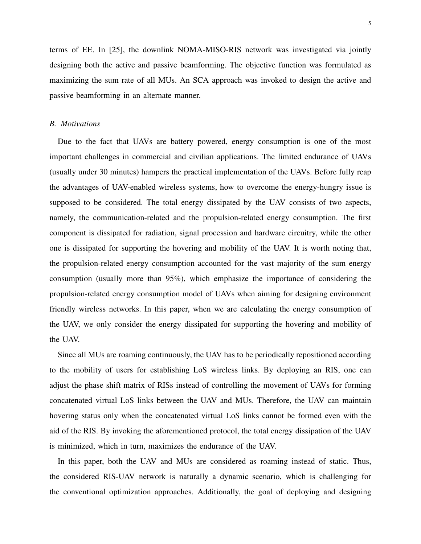terms of EE. In [25], the downlink NOMA-MISO-RIS network was investigated via jointly designing both the active and passive beamforming. The objective function was formulated as maximizing the sum rate of all MUs. An SCA approach was invoked to design the active and passive beamforming in an alternate manner.

### *B. Motivations*

Due to the fact that UAVs are battery powered, energy consumption is one of the most important challenges in commercial and civilian applications. The limited endurance of UAVs (usually under 30 minutes) hampers the practical implementation of the UAVs. Before fully reap the advantages of UAV-enabled wireless systems, how to overcome the energy-hungry issue is supposed to be considered. The total energy dissipated by the UAV consists of two aspects, namely, the communication-related and the propulsion-related energy consumption. The first component is dissipated for radiation, signal procession and hardware circuitry, while the other one is dissipated for supporting the hovering and mobility of the UAV. It is worth noting that, the propulsion-related energy consumption accounted for the vast majority of the sum energy consumption (usually more than 95%), which emphasize the importance of considering the propulsion-related energy consumption model of UAVs when aiming for designing environment friendly wireless networks. In this paper, when we are calculating the energy consumption of the UAV, we only consider the energy dissipated for supporting the hovering and mobility of the UAV.

Since all MUs are roaming continuously, the UAV has to be periodically repositioned according to the mobility of users for establishing LoS wireless links. By deploying an RIS, one can adjust the phase shift matrix of RISs instead of controlling the movement of UAVs for forming concatenated virtual LoS links between the UAV and MUs. Therefore, the UAV can maintain hovering status only when the concatenated virtual LoS links cannot be formed even with the aid of the RIS. By invoking the aforementioned protocol, the total energy dissipation of the UAV is minimized, which in turn, maximizes the endurance of the UAV.

In this paper, both the UAV and MUs are considered as roaming instead of static. Thus, the considered RIS-UAV network is naturally a dynamic scenario, which is challenging for the conventional optimization approaches. Additionally, the goal of deploying and designing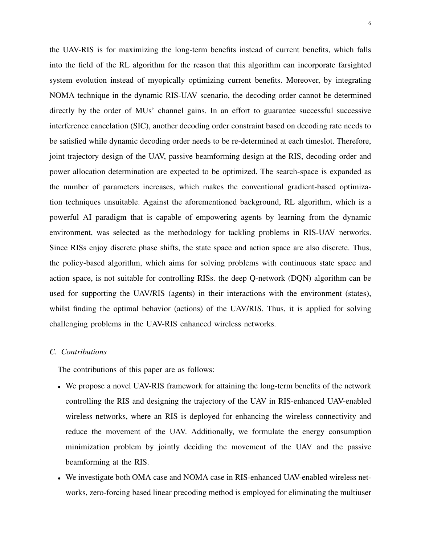the UAV-RIS is for maximizing the long-term benefits instead of current benefits, which falls into the field of the RL algorithm for the reason that this algorithm can incorporate farsighted system evolution instead of myopically optimizing current benefits. Moreover, by integrating NOMA technique in the dynamic RIS-UAV scenario, the decoding order cannot be determined directly by the order of MUs' channel gains. In an effort to guarantee successful successive interference cancelation (SIC), another decoding order constraint based on decoding rate needs to be satisfied while dynamic decoding order needs to be re-determined at each timeslot. Therefore, joint trajectory design of the UAV, passive beamforming design at the RIS, decoding order and power allocation determination are expected to be optimized. The search-space is expanded as the number of parameters increases, which makes the conventional gradient-based optimization techniques unsuitable. Against the aforementioned background, RL algorithm, which is a powerful AI paradigm that is capable of empowering agents by learning from the dynamic environment, was selected as the methodology for tackling problems in RIS-UAV networks. Since RISs enjoy discrete phase shifts, the state space and action space are also discrete. Thus, the policy-based algorithm, which aims for solving problems with continuous state space and action space, is not suitable for controlling RISs. the deep Q-network (DQN) algorithm can be used for supporting the UAV/RIS (agents) in their interactions with the environment (states), whilst finding the optimal behavior (actions) of the UAV/RIS. Thus, it is applied for solving challenging problems in the UAV-RIS enhanced wireless networks.

# *C. Contributions*

The contributions of this paper are as follows:

- We propose a novel UAV-RIS framework for attaining the long-term benefits of the network controlling the RIS and designing the trajectory of the UAV in RIS-enhanced UAV-enabled wireless networks, where an RIS is deployed for enhancing the wireless connectivity and reduce the movement of the UAV. Additionally, we formulate the energy consumption minimization problem by jointly deciding the movement of the UAV and the passive beamforming at the RIS.
- We investigate both OMA case and NOMA case in RIS-enhanced UAV-enabled wireless networks, zero-forcing based linear precoding method is employed for eliminating the multiuser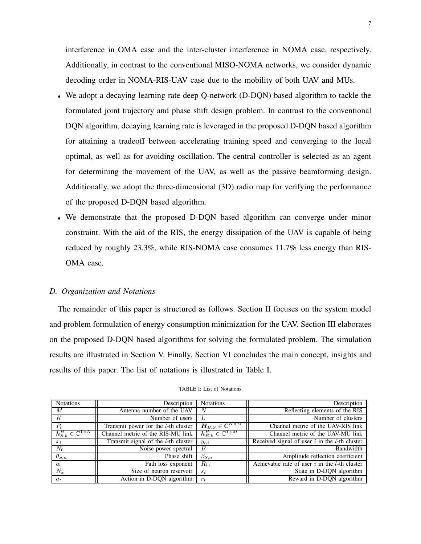interference in OMA case and the inter-cluster interference in NOMA case, respectively. Additionally, in contrast to the conventional MISO-NOMA networks, we consider dynamic decoding order in NOMA-RIS-UAV case due to the mobility of both UAV and MUs.

- We adopt a decaying learning rate deep Q-network (D-DQN) based algorithm to tackle the formulated joint trajectory and phase shift design problem. In contrast to the conventional DQN algorithm, decaying learning rate is leveraged in the proposed D-DQN based algorithm for attaining a tradeoff between accelerating training speed and converging to the local optimal, as well as for avoiding oscillation. The central controller is selected as an agent for determining the movement of the UAV, as well as the passive beamforming design. Additionally, we adopt the three-dimensional (3D) radio map for verifying the performance of the proposed D-DQN based algorithm.
- We demonstrate that the proposed D-DQN based algorithm can converge under minor constraint. With the aid of the RIS, the energy dissipation of the UAV is capable of being reduced by roughly 23.3%, while RIS-NOMA case consumes 11.7% less energy than RIS-OMA case.

## *D. Organization and Notations*

The remainder of this paper is structured as follows. Section II focuses on the system model and problem formulation of energy consumption minimization for the UAV. Section III elaborates on the proposed D-DQN based algorithms for solving the formulated problem. The simulation results are illustrated in Section V. Finally, Section VI concludes the main concept, insights and results of this paper. The list of notations is illustrated in Table I.

| <b>Notations</b>                             | Description                            | <b>Notations</b>                                     | Description                                        |
|----------------------------------------------|----------------------------------------|------------------------------------------------------|----------------------------------------------------|
| M                                            | Antenna number of the UAV              | N                                                    | Reflecting elements of the RIS                     |
| K                                            | Number of users                        |                                                      | Number of clusters                                 |
| $P_l$                                        | Transmit power for the $l$ -th cluster | $\overline{{\bm{H}}_{B,S}\in\mathbb{C}^{N\times M}}$ | Channel metric of the UAV-RIS link                 |
| $\bm{h}_{S.k}^H \in \mathbb{C}^{1 \times N}$ | Channel metric of the RIS-MU link      | $\bm{h}_{B,k}^{H} \in \mathbb{C}^{1 \times M}$       | Channel metric of the UAV-MU link                  |
| $x_l$                                        | Transmit signal of the $l$ -th cluster | $y_{l,i}$                                            | Received signal of user $i$ in the $l$ -th cluster |
| $N_0$                                        | Noise power spectral                   | B                                                    | Bandwidth                                          |
| $\theta_{S,n}$                               | Phase shift                            | $\beta_{S,n}$                                        | Amplitude reflection coefficient                   |
| $\alpha$                                     | Path loss exponent                     | $R_{l,i}$                                            | Achievable rate of user $i$ in the $l$ -th cluster |
| $N_x$                                        | Size of neuron reservoir               | $s_t$                                                | State in D-DQN algorithm                           |
| $a_t$                                        | Action in D-DQN algorithm              | $r_{t}$                                              | Reward in D-DQN algorithm                          |

#### TABLE I: List of Notations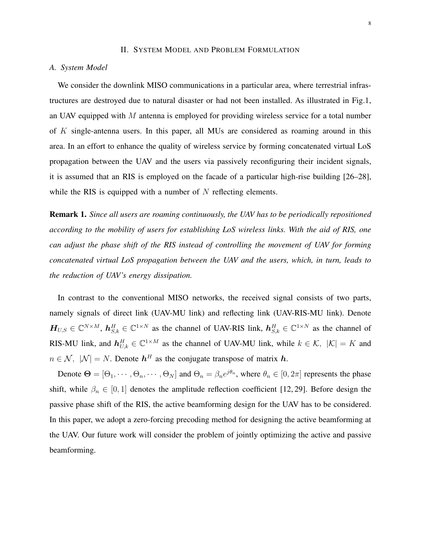## II. SYSTEM MODEL AND PROBLEM FORMULATION

# *A. System Model*

We consider the downlink MISO communications in a particular area, where terrestrial infrastructures are destroyed due to natural disaster or had not been installed. As illustrated in Fig.1, an UAV equipped with  $M$  antenna is employed for providing wireless service for a total number of K single-antenna users. In this paper, all MUs are considered as roaming around in this area. In an effort to enhance the quality of wireless service by forming concatenated virtual LoS propagation between the UAV and the users via passively reconfiguring their incident signals, it is assumed that an RIS is employed on the facade of a particular high-rise building [26–28], while the RIS is equipped with a number of  $N$  reflecting elements.

Remark 1. *Since all users are roaming continuously, the UAV has to be periodically repositioned according to the mobility of users for establishing LoS wireless links. With the aid of RIS, one can adjust the phase shift of the RIS instead of controlling the movement of UAV for forming concatenated virtual LoS propagation between the UAV and the users, which, in turn, leads to the reduction of UAV's energy dissipation.*

In contrast to the conventional MISO networks, the received signal consists of two parts, namely signals of direct link (UAV-MU link) and reflecting link (UAV-RIS-MU link). Denote  $H_{U,S} \in \mathbb{C}^{N \times M}$ ,  $\mathbf{h}_{S,k}^H \in \mathbb{C}^{1 \times N}$  as the channel of UAV-RIS link,  $\mathbf{h}_{S,k}^H \in \mathbb{C}^{1 \times N}$  as the channel of RIS-MU link, and  $h_{U,k}^H \in \mathbb{C}^{1 \times M}$  as the channel of UAV-MU link, while  $k \in \mathcal{K}$ ,  $|\mathcal{K}| = K$  and  $n \in \mathcal{N}$ ,  $|\mathcal{N}| = N$ . Denote  $\mathbf{h}^H$  as the conjugate transpose of matrix  $\mathbf{h}$ .

Denote  $\Theta = [\Theta_1, \cdots, \Theta_n, \cdots, \Theta_N]$  and  $\Theta_n = \beta_n e^{j\theta_n}$ , where  $\theta_n \in [0, 2\pi]$  represents the phase shift, while  $\beta_n \in [0, 1]$  denotes the amplitude reflection coefficient [12, 29]. Before design the passive phase shift of the RIS, the active beamforming design for the UAV has to be considered. In this paper, we adopt a zero-forcing precoding method for designing the active beamforming at the UAV. Our future work will consider the problem of jointly optimizing the active and passive beamforming.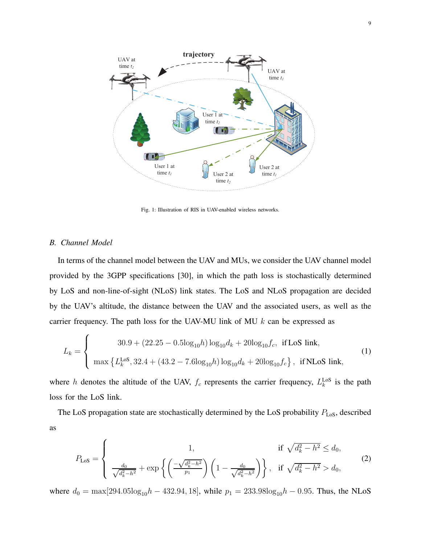

Fig. 1: Illustration of RIS in UAV-enabled wireless networks.

## *B. Channel Model*

In terms of the channel model between the UAV and MUs, we consider the UAV channel model provided by the 3GPP specifications [30], in which the path loss is stochastically determined by LoS and non-line-of-sight (NLoS) link states. The LoS and NLoS propagation are decided by the UAV's altitude, the distance between the UAV and the associated users, as well as the carrier frequency. The path loss for the UAV-MU link of MU  $k$  can be expressed as

$$
L_k = \begin{cases} 30.9 + (22.25 - 0.5\log_{10}h) \log_{10}d_k + 20\log_{10}f_c, & \text{if LoS link,} \\ \max\left\{L_k^{\text{LoS}}, 32.4 + (43.2 - 7.6\log_{10}h) \log_{10}d_k + 20\log_{10}f_c\right\}, & \text{if NLoS link,} \end{cases}
$$
(1)

where h denotes the altitude of the UAV,  $f_c$  represents the carrier frequency,  $L_k^{\text{LoS}}$  is the path loss for the LoS link.

The LoS propagation state are stochastically determined by the LoS probability  $P_{\text{LoS}}$ , described as

$$
P_{\text{LoS}} = \begin{cases} 1, & \text{if } \sqrt{d_k^2 - h^2} \le d_0, \\ \frac{d_0}{\sqrt{d_k^2 - h^2}} + \exp\left\{ \left( \frac{-\sqrt{d_k^2 - h^2}}{p_1} \right) \left( 1 - \frac{d_0}{\sqrt{d_k^2 - h^2}} \right) \right\}, & \text{if } \sqrt{d_k^2 - h^2} > d_0, \end{cases} \tag{2}
$$

where  $d_0 = \max[294.05\log_{10}h - 432.94, 18]$ , while  $p_1 = 233.98\log_{10}h - 0.95$ . Thus, the NLoS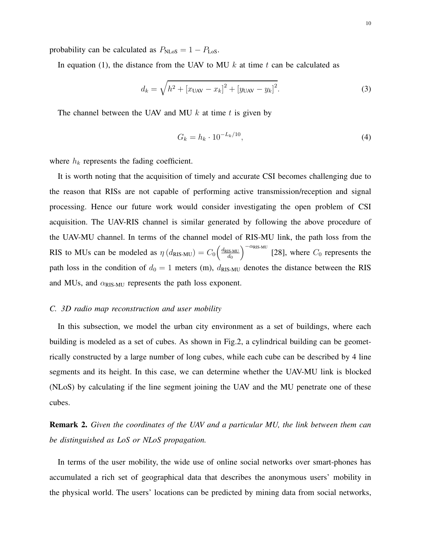probability can be calculated as  $P_{\text{NLoS}} = 1 - P_{\text{LoS}}$ .

In equation (1), the distance from the UAV to MU  $k$  at time  $t$  can be calculated as

$$
d_k = \sqrt{h^2 + [x_{\text{UAV}} - x_k]^2 + [y_{\text{UAV}} - y_k]^2}.
$$
 (3)

The channel between the UAV and MU  $k$  at time  $t$  is given by

$$
G_k = h_k \cdot 10^{-L_k/10},\tag{4}
$$

where  $h_k$  represents the fading coefficient.

It is worth noting that the acquisition of timely and accurate CSI becomes challenging due to the reason that RISs are not capable of performing active transmission/reception and signal processing. Hence our future work would consider investigating the open problem of CSI acquisition. The UAV-RIS channel is similar generated by following the above procedure of the UAV-MU channel. In terms of the channel model of RIS-MU link, the path loss from the RIS to MUs can be modeled as  $\eta(d_{\text{RIS-MU}}) = C_0 \left( \frac{d_{\text{RIS-MU}}}{d_0} \right)$  $d_0$  $\int_{0}^{-\alpha_{\text{RIS-MU}}}$  [28], where  $C_0$  represents the path loss in the condition of  $d_0 = 1$  meters (m),  $d_{RIS-MU}$  denotes the distance between the RIS and MUs, and  $\alpha_{RIS-MU}$  represents the path loss exponent.

## *C. 3D radio map reconstruction and user mobility*

In this subsection, we model the urban city environment as a set of buildings, where each building is modeled as a set of cubes. As shown in Fig.2, a cylindrical building can be geometrically constructed by a large number of long cubes, while each cube can be described by 4 line segments and its height. In this case, we can determine whether the UAV-MU link is blocked (NLoS) by calculating if the line segment joining the UAV and the MU penetrate one of these cubes.

Remark 2. *Given the coordinates of the UAV and a particular MU, the link between them can be distinguished as LoS or NLoS propagation.*

In terms of the user mobility, the wide use of online social networks over smart-phones has accumulated a rich set of geographical data that describes the anonymous users' mobility in the physical world. The users' locations can be predicted by mining data from social networks,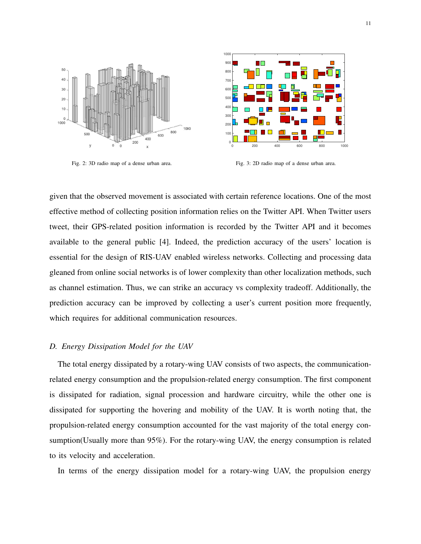

Fig. 2: 3D radio map of a dense urban area.

Fig. 3: 2D radio map of a dense urban area.

given that the observed movement is associated with certain reference locations. One of the most effective method of collecting position information relies on the Twitter API. When Twitter users tweet, their GPS-related position information is recorded by the Twitter API and it becomes available to the general public [4]. Indeed, the prediction accuracy of the users' location is essential for the design of RIS-UAV enabled wireless networks. Collecting and processing data gleaned from online social networks is of lower complexity than other localization methods, such as channel estimation. Thus, we can strike an accuracy vs complexity tradeoff. Additionally, the prediction accuracy can be improved by collecting a user's current position more frequently, which requires for additional communication resources.

## *D. Energy Dissipation Model for the UAV*

The total energy dissipated by a rotary-wing UAV consists of two aspects, the communicationrelated energy consumption and the propulsion-related energy consumption. The first component is dissipated for radiation, signal procession and hardware circuitry, while the other one is dissipated for supporting the hovering and mobility of the UAV. It is worth noting that, the propulsion-related energy consumption accounted for the vast majority of the total energy consumption(Usually more than 95%). For the rotary-wing UAV, the energy consumption is related to its velocity and acceleration.

In terms of the energy dissipation model for a rotary-wing UAV, the propulsion energy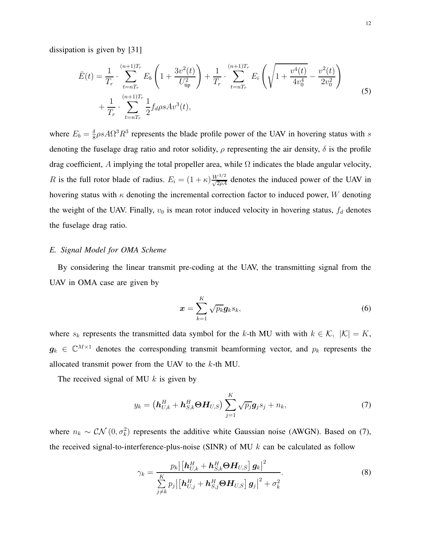$$
\bar{E}(t) = \frac{1}{T_r} \cdot \sum_{t=nT_r}^{(n+1)T_r} E_b \left( 1 + \frac{3v^2(t)}{U_{\text{tip}}^2} \right) + \frac{1}{T_r} \cdot \sum_{t=nT_r}^{(n+1)T_r} E_i \left( \sqrt{1 + \frac{v^4(t)}{4v_0^4}} - \frac{v^2(t)}{2v_0^2} \right)
$$
\n
$$
+ \frac{1}{T_r} \cdot \sum_{t=nT_r}^{(n+1)T_r} \frac{1}{2} f_d \rho s A v^3(t),
$$
\n(5)

where  $E_b = \frac{\delta}{8}$  $\frac{\delta}{8} \rho s A \Omega^3 R^3$  represents the blade profile power of the UAV in hovering status with s denoting the fuselage drag ratio and rotor solidity,  $\rho$  representing the air density,  $\delta$  is the profile drag coefficient, A implying the total propeller area, while  $\Omega$  indicates the blade angular velocity, R is the full rotor blade of radius.  $E_i = (1 + \kappa) \frac{W^{3/2}}{\sqrt{2\rho A}}$  denotes the induced power of the UAV in hovering status with  $\kappa$  denoting the incremental correction factor to induced power, W denoting the weight of the UAV. Finally,  $v_0$  is mean rotor induced velocity in hovering status,  $f_d$  denotes the fuselage drag ratio.

# *E. Signal Model for OMA Scheme*

By considering the linear transmit pre-coding at the UAV, the transmitting signal from the UAV in OMA case are given by

$$
\boldsymbol{x} = \sum_{k=1}^{K} \sqrt{p_k} \boldsymbol{g}_k s_k,
$$
\n(6)

where  $s_k$  represents the transmitted data symbol for the k-th MU with with  $k \in \mathcal{K}$ ,  $|\mathcal{K}| = K$ ,  $g_k \in \mathbb{C}^{M \times 1}$  denotes the corresponding transmit beamforming vector, and  $p_k$  represents the allocated transmit power from the UAV to the  $k$ -th MU.

The received signal of MU  $k$  is given by

$$
y_k = \left(\boldsymbol{h}_{U,k}^H + \boldsymbol{h}_{S,k}^H \boldsymbol{\Theta} \boldsymbol{H}_{U,S}\right) \sum_{j=1}^K \sqrt{p_j} \boldsymbol{g}_j s_j + n_k, \tag{7}
$$

where  $n_k \sim \mathcal{CN}(0, \sigma_k^2)$  represents the additive white Gaussian noise (AWGN). Based on (7), the received signal-to-interference-plus-noise (SINR) of MU  $k$  can be calculated as follow

$$
\gamma_k = \frac{p_k \left| \left[\mathbf{h}_{U,k}^H + \mathbf{h}_{S,k}^H \boldsymbol{\Theta} \mathbf{H}_{U,S} \right] \mathbf{g}_k \right|^2}{\sum\limits_{j \neq k} p_j \left| \left[\mathbf{h}_{U,j}^H + \mathbf{h}_{S,j}^H \boldsymbol{\Theta} \mathbf{H}_{U,S} \right] \mathbf{g}_j \right|^2 + \sigma_k^2}.
$$
\n(8)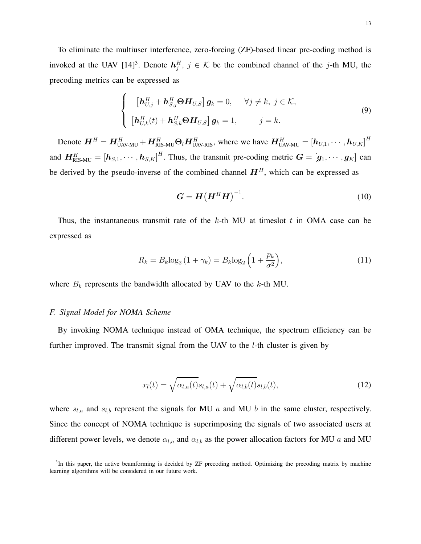To eliminate the multiuser interference, zero-forcing (ZF)-based linear pre-coding method is invoked at the UAV  $[14]^3$ . Denote  $h_j^H$ ,  $j \in \mathcal{K}$  be the combined channel of the j-th MU, the precoding metrics can be expressed as

$$
\begin{cases}\n\left[\boldsymbol{h}_{U,j}^{H} + \boldsymbol{h}_{S,j}^{H}\boldsymbol{\Theta}\boldsymbol{H}_{U,S}\right]\boldsymbol{g}_{k} = 0, & \forall j \neq k, j \in \mathcal{K}, \\
\left[\boldsymbol{h}_{U,k}^{H}(t) + \boldsymbol{h}_{S,k}^{H}\boldsymbol{\Theta}\boldsymbol{H}_{U,S}\right]\boldsymbol{g}_{k} = 1, & j = k.\n\end{cases}
$$
\n(9)

Denote  $\bm{H}^H = \bm{H}_{\text{UAV-MU}}^H + \bm{H}_{\text{RIS-MU}}^H \bm{\Theta}_l \bm{H}_{\text{UAV-RIS}}^H$ , where we have  $\bm{H}_{\text{UAV-MU}}^H = \left[\bm{h}_{U,1},\cdots,\bm{h}_{U,K}\right]^H$ and  $\bm{H}_{\text{RIS-MU}}^H = [\bm{h}_{S,1}, \cdots, \bm{h}_{S,K}]^H$ . Thus, the transmit pre-coding metric  $\bm{G} = [\bm{g}_1, \cdots, \bm{g}_K]$  can be derived by the pseudo-inverse of the combined channel  $H<sup>H</sup>$ , which can be expressed as

$$
G = H(H^H H)^{-1}.
$$
 (10)

Thus, the instantaneous transmit rate of the  $k$ -th MU at timeslot t in OMA case can be expressed as

$$
R_k = B_k \log_2 \left( 1 + \gamma_k \right) = B_k \log_2 \left( 1 + \frac{p_k}{\sigma^2} \right),\tag{11}
$$

where  $B_k$  represents the bandwidth allocated by UAV to the  $k$ -th MU.

#### *F. Signal Model for NOMA Scheme*

By invoking NOMA technique instead of OMA technique, the spectrum efficiency can be further improved. The transmit signal from the UAV to the  $l$ -th cluster is given by

$$
x_l(t) = \sqrt{\alpha_{l,a}(t)} s_{l,a}(t) + \sqrt{\alpha_{l,b}(t)} s_{l,b}(t), \qquad (12)
$$

where  $s_{l,a}$  and  $s_{l,b}$  represent the signals for MU a and MU b in the same cluster, respectively. Since the concept of NOMA technique is superimposing the signals of two associated users at different power levels, we denote  $\alpha_{l,a}$  and  $\alpha_{l,b}$  as the power allocation factors for MU a and MU

<sup>&</sup>lt;sup>3</sup>In this paper, the active beamforming is decided by ZF precoding method. Optimizing the precoding matrix by machine learning algorithms will be considered in our future work.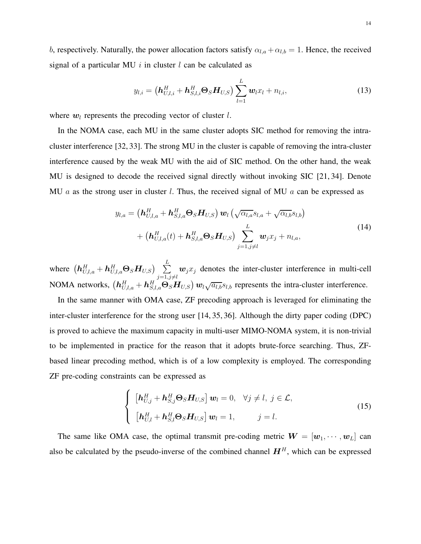b, respectively. Naturally, the power allocation factors satisfy  $\alpha_{l,a} + \alpha_{l,b} = 1$ . Hence, the received signal of a particular MU i in cluster  $l$  can be calculated as

$$
y_{l,i} = \left(\mathbf{h}_{U,l,i}^H + \mathbf{h}_{S,l,i}^H \mathbf{\Theta}_S \mathbf{H}_{U,S}\right) \sum_{l=1}^L \mathbf{w}_l x_l + n_{l,i}, \qquad (13)
$$

where  $w_l$  represents the precoding vector of cluster  $l$ .

In the NOMA case, each MU in the same cluster adopts SIC method for removing the intracluster interference [32, 33]. The strong MU in the cluster is capable of removing the intra-cluster interference caused by the weak MU with the aid of SIC method. On the other hand, the weak MU is designed to decode the received signal directly without invoking SIC [21, 34]. Denote MU a as the strong user in cluster l. Thus, the received signal of MU a can be expressed as

$$
y_{l,a} = \left(\boldsymbol{h}_{U,l,a}^H + \boldsymbol{h}_{S,l,a}^H \boldsymbol{\Theta}_S \boldsymbol{H}_{U,S}\right) \boldsymbol{w}_l \left(\sqrt{\alpha_{l,a}} s_{l,a} + \sqrt{\alpha_{l,b}} s_{l,b}\right) + \left(\boldsymbol{h}_{U,l,a}^H(t) + \boldsymbol{h}_{S,l,a}^H \boldsymbol{\Theta}_S \boldsymbol{H}_{U,S}\right) \sum_{j=1,j\neq l}^L \boldsymbol{w}_j x_j + n_{l,a},
$$
\n(14)

where  $\begin{pmatrix} \boldsymbol{h}_{U,l,a}^H + \boldsymbol{h}_{U,l,a}^H \boldsymbol{\Theta}_S \boldsymbol{H}_{U,S} \end{pmatrix} \;\; \sum\limits_{i=1}^L \;$  $j=1,j\neq l$  $w_jx_j$  denotes the inter-cluster interference in multi-cell NOMA networks,  $(h_{U,l,a}^H + h_{S,l,a}^H \Theta_S H_{U,S}) w_l \sqrt{a_{l,b}} s_{l,b}$  represents the intra-cluster interference.

In the same manner with OMA case, ZF precoding approach is leveraged for eliminating the inter-cluster interference for the strong user [14, 35, 36]. Although the dirty paper coding (DPC) is proved to achieve the maximum capacity in multi-user MIMO-NOMA system, it is non-trivial to be implemented in practice for the reason that it adopts brute-force searching. Thus, ZFbased linear precoding method, which is of a low complexity is employed. The corresponding ZF pre-coding constraints can be expressed as

$$
\begin{cases}\n\left[\boldsymbol{h}_{U,j}^{H} + \boldsymbol{h}_{S,j}^{H} \boldsymbol{\Theta}_{S} \boldsymbol{H}_{U,S}\right] \boldsymbol{w}_{l} = 0, & \forall j \neq l, j \in \mathcal{L}, \\
\left[\boldsymbol{h}_{U,l}^{H} + \boldsymbol{h}_{S,l}^{H} \boldsymbol{\Theta}_{S} \boldsymbol{H}_{U,S}\right] \boldsymbol{w}_{l} = 1, & j = l.\n\end{cases}
$$
\n(15)

The same like OMA case, the optimal transmit pre-coding metric  $W = [\mathbf{w}_1, \dots, \mathbf{w}_L]$  can also be calculated by the pseudo-inverse of the combined channel  $H<sup>H</sup>$ , which can be expressed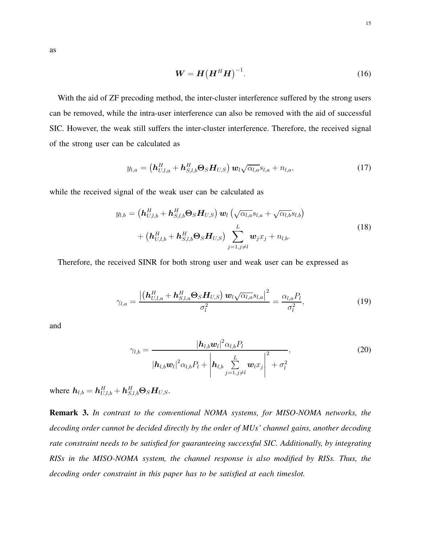as

$$
\mathbf{W} = \mathbf{H} \left( \mathbf{H}^H \mathbf{H} \right)^{-1}.
$$
 (16)

With the aid of ZF precoding method, the inter-cluster interference suffered by the strong users can be removed, while the intra-user interference can also be removed with the aid of successful SIC. However, the weak still suffers the inter-cluster interference. Therefore, the received signal of the strong user can be calculated as

$$
y_{l,a} = \left(\boldsymbol{h}_{U,l,a}^H + \boldsymbol{h}_{S,l,b}^H \boldsymbol{\Theta}_S \boldsymbol{H}_{U,S}\right) \boldsymbol{w}_l \sqrt{\alpha_{l,a}} s_{l,a} + n_{l,a}, \qquad (17)
$$

while the received signal of the weak user can be calculated as

$$
y_{l,b} = \left(\boldsymbol{h}_{U,l,b}^H + \boldsymbol{h}_{S,l,b}^H \boldsymbol{\Theta}_S \boldsymbol{H}_{U,S}\right) \boldsymbol{w}_l \left(\sqrt{\alpha_{l,a}} s_{l,a} + \sqrt{\alpha_{l,b}} s_{l,b}\right) + \left(\boldsymbol{h}_{U,l,b}^H + \boldsymbol{h}_{S,l,b}^H \boldsymbol{\Theta}_S \boldsymbol{H}_{U,S}\right) \sum_{j=1,j\neq l}^L \boldsymbol{w}_j x_j + n_{l,b}.
$$
\n(18)

Therefore, the received SINR for both strong user and weak user can be expressed as

$$
\gamma_{l,a} = \frac{\left| \left( \boldsymbol{h}_{U,l,a}^H + \boldsymbol{h}_{S,l,a}^H \boldsymbol{\Theta}_S \boldsymbol{H}_{U,S} \right) \boldsymbol{w}_l \sqrt{\alpha_{l,a}} s_{l,a} \right|^2}{\sigma_l^2} = \frac{\alpha_{l,a} P_l}{\sigma_l^2},
$$
(19)

and

$$
\gamma_{l,b} = \frac{|\boldsymbol{h}_{l,b}\boldsymbol{w}_l|^2 \alpha_{l,b} P_l}{|\boldsymbol{h}_{l,b}\boldsymbol{w}_l|^2 \alpha_{l,b} P_l + \left|\boldsymbol{h}_{l,b} \sum_{j=1,j\neq l}^L \boldsymbol{w}_l x_j\right|^2 + \sigma_l^2},\tag{20}
$$

where  $\boldsymbol{h}_{l,b} = \boldsymbol{h}_{U,l,b}^H + \boldsymbol{h}_{S,l,b}^H \boldsymbol{\Theta}_S \boldsymbol{H}_{U,S}.$ 

Remark 3. *In contrast to the conventional NOMA systems, for MISO-NOMA networks, the decoding order cannot be decided directly by the order of MUs' channel gains, another decoding rate constraint needs to be satisfied for guaranteeing successful SIC. Additionally, by integrating RISs in the MISO-NOMA system, the channel response is also modified by RISs. Thus, the decoding order constraint in this paper has to be satisfied at each timeslot.*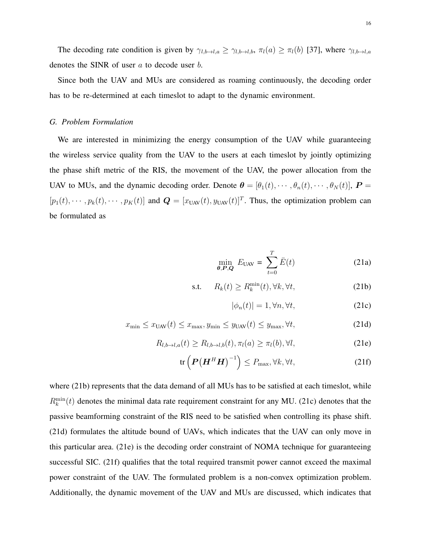The decoding rate condition is given by  $\gamma_{l,b\to l,a} \geq \gamma_{l,b\to l,b}$ ,  $\pi_l(a) \geq \pi_l(b)$  [37], where  $\gamma_{l,b\to l,a}$ denotes the SINR of user a to decode user b.

Since both the UAV and MUs are considered as roaming continuously, the decoding order has to be re-determined at each timeslot to adapt to the dynamic environment.

# *G. Problem Formulation*

We are interested in minimizing the energy consumption of the UAV while guaranteeing the wireless service quality from the UAV to the users at each timeslot by jointly optimizing the phase shift metric of the RIS, the movement of the UAV, the power allocation from the UAV to MUs, and the dynamic decoding order. Denote  $\boldsymbol{\theta} = [\theta_1(t), \cdots, \theta_n(t), \cdots, \theta_N(t)]$ ,  $\boldsymbol{P} =$  $[p_1(t), \cdots, p_k(t), \cdots, p_K(t)]$  and  $\mathbf{Q} = [x_{UAV}(t), y_{UAV}(t)]^T$ . Thus, the optimization problem can be formulated as

$$
\min_{\theta, P, Q} E_{\text{UAV}} = \sum_{t=0}^{T} \bar{E}(t) \tag{21a}
$$

$$
\text{s.t.} \qquad R_k(t) \ge R_k^{\min}(t), \forall k, \forall t,
$$
\n<sup>(21b)</sup>

$$
|\phi_n(t)| = 1, \forall n, \forall t,
$$
\n(21c)

$$
x_{\min} \le x_{\text{UAV}}(t) \le x_{\max}, y_{\min} \le y_{\text{UAV}}(t) \le y_{\max}, \forall t,
$$
\n(21d)

$$
R_{l,b\to l,a}(t) \ge R_{l,b\to l,b}(t), \pi_l(a) \ge \pi_l(b), \forall l,
$$
\n(21e)

$$
\operatorname{tr}\left(\boldsymbol{P}\big(\boldsymbol{H}^{H}\boldsymbol{H}\big)^{-1}\right) \leq P_{\max}, \forall k, \forall t,\tag{21f}
$$

where (21b) represents that the data demand of all MUs has to be satisfied at each timeslot, while  $R_k^{\text{min}}(t)$  denotes the minimal data rate requirement constraint for any MU. (21c) denotes that the passive beamforming constraint of the RIS need to be satisfied when controlling its phase shift. (21d) formulates the altitude bound of UAVs, which indicates that the UAV can only move in this particular area. (21e) is the decoding order constraint of NOMA technique for guaranteeing successful SIC. (21f) qualifies that the total required transmit power cannot exceed the maximal power constraint of the UAV. The formulated problem is a non-convex optimization problem. Additionally, the dynamic movement of the UAV and MUs are discussed, which indicates that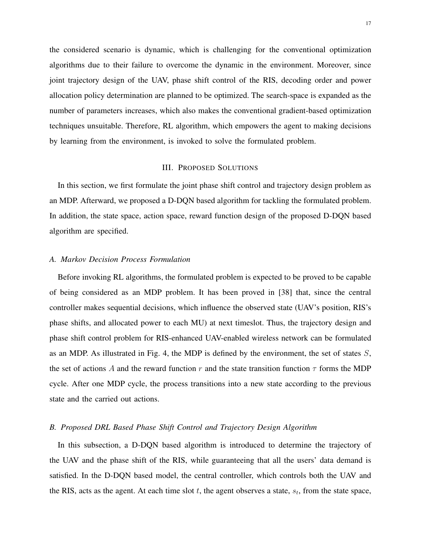the considered scenario is dynamic, which is challenging for the conventional optimization algorithms due to their failure to overcome the dynamic in the environment. Moreover, since joint trajectory design of the UAV, phase shift control of the RIS, decoding order and power allocation policy determination are planned to be optimized. The search-space is expanded as the number of parameters increases, which also makes the conventional gradient-based optimization techniques unsuitable. Therefore, RL algorithm, which empowers the agent to making decisions by learning from the environment, is invoked to solve the formulated problem.

## III. PROPOSED SOLUTIONS

In this section, we first formulate the joint phase shift control and trajectory design problem as an MDP. Afterward, we proposed a D-DQN based algorithm for tackling the formulated problem. In addition, the state space, action space, reward function design of the proposed D-DQN based algorithm are specified.

## *A. Markov Decision Process Formulation*

Before invoking RL algorithms, the formulated problem is expected to be proved to be capable of being considered as an MDP problem. It has been proved in [38] that, since the central controller makes sequential decisions, which influence the observed state (UAV's position, RIS's phase shifts, and allocated power to each MU) at next timeslot. Thus, the trajectory design and phase shift control problem for RIS-enhanced UAV-enabled wireless network can be formulated as an MDP. As illustrated in Fig. 4, the MDP is defined by the environment, the set of states  $S$ , the set of actions A and the reward function r and the state transition function  $\tau$  forms the MDP cycle. After one MDP cycle, the process transitions into a new state according to the previous state and the carried out actions.

# *B. Proposed DRL Based Phase Shift Control and Trajectory Design Algorithm*

In this subsection, a D-DQN based algorithm is introduced to determine the trajectory of the UAV and the phase shift of the RIS, while guaranteeing that all the users' data demand is satisfied. In the D-DQN based model, the central controller, which controls both the UAV and the RIS, acts as the agent. At each time slot  $t$ , the agent observes a state,  $s_t$ , from the state space,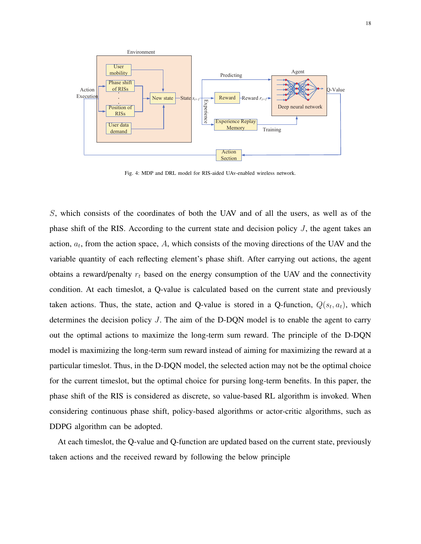

Fig. 4: MDP and DRL model for RIS-aided UAv-enabled wireless network.

S, which consists of the coordinates of both the UAV and of all the users, as well as of the phase shift of the RIS. According to the current state and decision policy  $J$ , the agent takes an action,  $a_t$ , from the action space, A, which consists of the moving directions of the UAV and the variable quantity of each reflecting element's phase shift. After carrying out actions, the agent obtains a reward/penalty  $r_t$  based on the energy consumption of the UAV and the connectivity condition. At each timeslot, a Q-value is calculated based on the current state and previously taken actions. Thus, the state, action and Q-value is stored in a Q-function,  $Q(s_t, a_t)$ , which determines the decision policy  $J$ . The aim of the D-DQN model is to enable the agent to carry out the optimal actions to maximize the long-term sum reward. The principle of the D-DQN model is maximizing the long-term sum reward instead of aiming for maximizing the reward at a particular timeslot. Thus, in the D-DQN model, the selected action may not be the optimal choice for the current timeslot, but the optimal choice for pursing long-term benefits. In this paper, the phase shift of the RIS is considered as discrete, so value-based RL algorithm is invoked. When considering continuous phase shift, policy-based algorithms or actor-critic algorithms, such as DDPG algorithm can be adopted.

At each timeslot, the Q-value and Q-function are updated based on the current state, previously taken actions and the received reward by following the below principle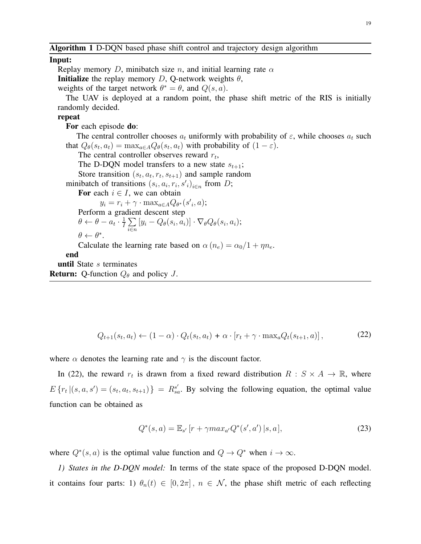Algorithm 1 D-DQN based phase shift control and trajectory design algorithm

#### Input:

Replay memory D, minibatch size n, and initial learning rate  $\alpha$ **Initialize** the replay memory D, Q-network weights  $\theta$ , weights of the target network  $\theta^* = \theta$ , and  $Q(s, a)$ . The UAV is deployed at a random point, the phase shift metric of the RIS is initially randomly decided. repeat For each episode **do**: The central controller chooses  $a_t$  uniformly with probability of  $\varepsilon$ , while chooses  $a_t$  such that  $Q_{\theta}(s_t, a_t) = \max_{a \in A} Q_{\theta}(s_t, a_t)$  with probability of  $(1 - \varepsilon)$ . The central controller observes reward  $r_t$ , The D-DQN model transfers to a new state  $s_{t+1}$ ; Store transition  $(s_t, a_t, r_t, s_{t+1})$  and sample random minibatch of transitions  $(s_i, a_i, r_i, s'_i)_{i \in n}$  from D; For each  $i \in I$ , we can obtain  $y_i = r_i + \gamma \cdot \max_{a \in A} Q_{\theta^*}(s'_i, a);$ Perform a gradient descent step  $\theta \leftarrow \theta - a_t \cdot \frac{1}{I}$  $\frac{1}{I} \sum$ i∈n  $[y_i - Q_\theta(s_i, a_i)] \cdot \nabla_\theta Q_\theta(s_i, a_i);$  $\theta \leftarrow \theta^*$ . Calculate the learning rate based on  $\alpha (n_e) = \alpha_0/1 + \eta n_e$ . end until State *s* terminates

**Return:** Q-function  $Q_{\theta}$  and policy J.

$$
Q_{t+1}(s_t, a_t) \leftarrow (1-\alpha) \cdot Q_t(s_t, a_t) + \alpha \cdot [r_t + \gamma \cdot \max_a Q_t(s_{t+1}, a)], \qquad (22)
$$

where  $\alpha$  denotes the learning rate and  $\gamma$  is the discount factor.

In (22), the reward  $r_t$  is drawn from a fixed reward distribution  $R : S \times A \rightarrow \mathbb{R}$ , where  $E\{r_t | (s, a, s') = (s_t, a_t, s_{t+1})\} = R_{sa}^{s'}$ . By solving the following equation, the optimal value function can be obtained as

$$
Q^*(s, a) = \mathbb{E}_{s'}[r + \gamma max_{a'} Q^*(s', a') | s, a], \qquad (23)
$$

where  $Q^*(s, a)$  is the optimal value function and  $Q \to Q^*$  when  $i \to \infty$ .

*1) States in the D-DQN model:* In terms of the state space of the proposed D-DQN model. it contains four parts: 1)  $\theta_n(t) \in [0, 2\pi]$ ,  $n \in \mathcal{N}$ , the phase shift metric of each reflecting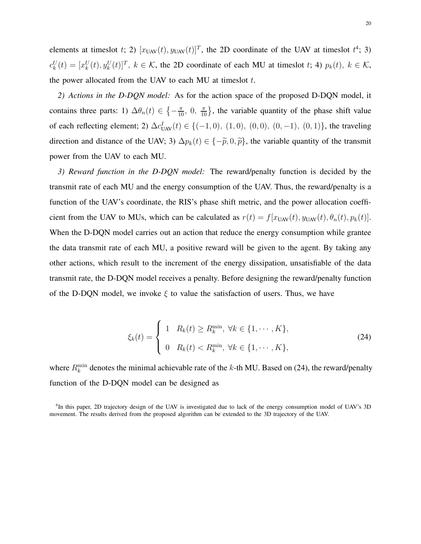elements at timeslot t; 2)  $[x_{UAV}(t), y_{UAV}(t)]^T$ , the 2D coordinate of the UAV at timeslot  $t^4$ ; 3)  $c_k^U(t) = [x_k^U(t), y_k^U(t)]^T$ ,  $k \in \mathcal{K}$ , the 2D coordinate of each MU at timeslot t; 4)  $p_k(t)$ ,  $k \in \mathcal{K}$ , the power allocated from the UAV to each MU at timeslot  $t$ .

*2) Actions in the D-DQN model:* As for the action space of the proposed D-DQN model, it contains three parts: 1)  $\Delta \theta_n(t) \in \left\{-\frac{\pi}{10}, 0, \frac{\pi}{10}\right\}$  $\frac{\pi}{10}$ , the variable quantity of the phase shift value of each reflecting element; 2)  $\Delta c_{\text{UAV}}^I(t) \in \{(-1,0), (1,0), (0,0), (0,-1), (0,1)\}\)$ , the traveling direction and distance of the UAV; 3)  $\Delta p_k(t) \in \{-\tilde{p}, 0, \tilde{p}\}\$ , the variable quantity of the transmit power from the UAV to each MU.

*3) Reward function in the D-DQN model:* The reward/penalty function is decided by the transmit rate of each MU and the energy consumption of the UAV. Thus, the reward/penalty is a function of the UAV's coordinate, the RIS's phase shift metric, and the power allocation coefficient from the UAV to MUs, which can be calculated as  $r(t) = f[x_{UAV}(t), y_{UAV}(t), \theta_n(t), p_k(t)].$ When the D-DQN model carries out an action that reduce the energy consumption while grantee the data transmit rate of each MU, a positive reward will be given to the agent. By taking any other actions, which result to the increment of the energy dissipation, unsatisfiable of the data transmit rate, the D-DQN model receives a penalty. Before designing the reward/penalty function of the D-DQN model, we invoke  $\xi$  to value the satisfaction of users. Thus, we have

$$
\xi_k(t) = \begin{cases} 1 & R_k(t) \ge R_k^{\min}, \ \forall k \in \{1, \cdots, K\}, \\ 0 & R_k(t) < R_k^{\min}, \ \forall k \in \{1, \cdots, K\}, \end{cases} \tag{24}
$$

where  $R_k^{\text{min}}$  denotes the minimal achievable rate of the k-th MU. Based on (24), the reward/penalty function of the D-DQN model can be designed as

4 In this paper, 2D trajectory design of the UAV is investigated due to lack of the energy consumption model of UAV's 3D movement. The results derived from the proposed algorithm can be extended to the 3D trajectory of the UAV.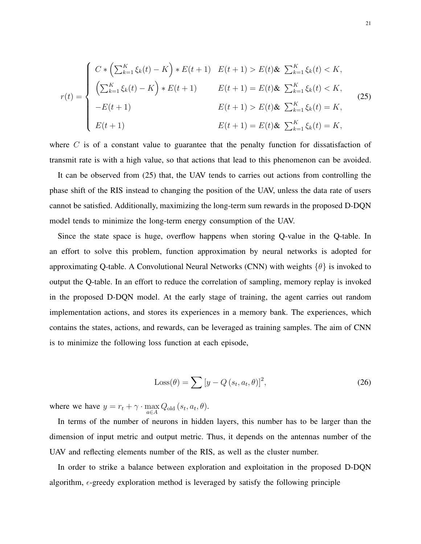$$
r(t) = \begin{cases} C * \left( \sum_{k=1}^{K} \xi_k(t) - K \right) * E(t+1) & E(t+1) > E(t) \& \sum_{k=1}^{K} \xi_k(t) < K, \\ \left( \sum_{k=1}^{K} \xi_k(t) - K \right) * E(t+1) & E(t+1) = E(t) \& \sum_{k=1}^{K} \xi_k(t) < K, \\ -E(t+1) & E(t+1) > E(t) \& \sum_{k=1}^{K} \xi_k(t) = K, \\ E(t+1) & E(t+1) = E(t) \& \sum_{k=1}^{K} \xi_k(t) = K, \end{cases} \tag{25}
$$

where  $C$  is of a constant value to guarantee that the penalty function for dissatisfaction of transmit rate is with a high value, so that actions that lead to this phenomenon can be avoided.

It can be observed from (25) that, the UAV tends to carries out actions from controlling the phase shift of the RIS instead to changing the position of the UAV, unless the data rate of users cannot be satisfied. Additionally, maximizing the long-term sum rewards in the proposed D-DQN model tends to minimize the long-term energy consumption of the UAV.

Since the state space is huge, overflow happens when storing Q-value in the Q-table. In an effort to solve this problem, function approximation by neural networks is adopted for approximating Q-table. A Convolutional Neural Networks (CNN) with weights  $\{\theta\}$  is invoked to output the Q-table. In an effort to reduce the correlation of sampling, memory replay is invoked in the proposed D-DQN model. At the early stage of training, the agent carries out random implementation actions, and stores its experiences in a memory bank. The experiences, which contains the states, actions, and rewards, can be leveraged as training samples. The aim of CNN is to minimize the following loss function at each episode,

$$
Loss(\theta) = \sum [y - Q(s_t, a_t, \theta)]^2,
$$
\n(26)

where we have  $y = r_t + \gamma \cdot \max_{a \in A}$  $Q_{\text{old}}\left(s_{t}, a_{t}, \theta\right)$ .

In terms of the number of neurons in hidden layers, this number has to be larger than the dimension of input metric and output metric. Thus, it depends on the antennas number of the UAV and reflecting elements number of the RIS, as well as the cluster number.

In order to strike a balance between exploration and exploitation in the proposed D-DQN algorithm,  $\epsilon$ -greedy exploration method is leveraged by satisfy the following principle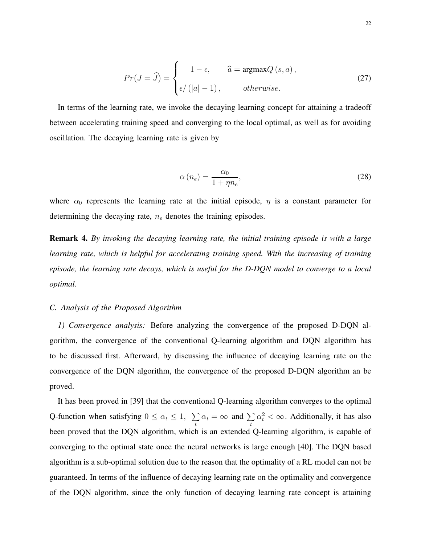$$
Pr(J = \hat{J}) = \begin{cases} 1 - \epsilon, & \hat{a} = \operatorname{argmax} Q(s, a), \\ \epsilon / (|a| - 1), & otherwise. \end{cases}
$$
 (27)

In terms of the learning rate, we invoke the decaying learning concept for attaining a tradeoff between accelerating training speed and converging to the local optimal, as well as for avoiding oscillation. The decaying learning rate is given by

$$
\alpha(n_e) = \frac{\alpha_0}{1 + \eta n_e},\tag{28}
$$

where  $\alpha_0$  represents the learning rate at the initial episode,  $\eta$  is a constant parameter for determining the decaying rate,  $n_e$  denotes the training episodes.

Remark 4. *By invoking the decaying learning rate, the initial training episode is with a large learning rate, which is helpful for accelerating training speed. With the increasing of training episode, the learning rate decays, which is useful for the D-DQN model to converge to a local optimal.*

## *C. Analysis of the Proposed Algorithm*

*1) Convergence analysis:* Before analyzing the convergence of the proposed D-DQN algorithm, the convergence of the conventional Q-learning algorithm and DQN algorithm has to be discussed first. Afterward, by discussing the influence of decaying learning rate on the convergence of the DQN algorithm, the convergence of the proposed D-DQN algorithm an be proved.

It has been proved in [39] that the conventional Q-learning algorithm converges to the optimal Q-function when satisfying  $0 \leq \alpha_t \leq 1$ ,  $\sum_{i=1}^{n}$  $\sum_t \alpha_t = \infty$  and  $\sum_t$  $\alpha_t^2 < \infty$ . Additionally, it has also been proved that the DQN algorithm, which is an extended Q-learning algorithm, is capable of converging to the optimal state once the neural networks is large enough [40]. The DQN based algorithm is a sub-optimal solution due to the reason that the optimality of a RL model can not be guaranteed. In terms of the influence of decaying learning rate on the optimality and convergence of the DQN algorithm, since the only function of decaying learning rate concept is attaining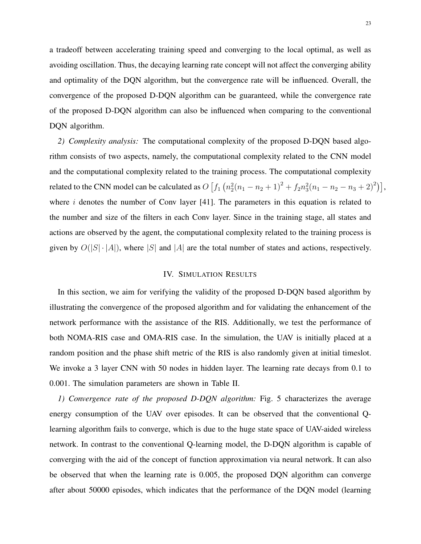a tradeoff between accelerating training speed and converging to the local optimal, as well as avoiding oscillation. Thus, the decaying learning rate concept will not affect the converging ability and optimality of the DQN algorithm, but the convergence rate will be influenced. Overall, the convergence of the proposed D-DQN algorithm can be guaranteed, while the convergence rate of the proposed D-DQN algorithm can also be influenced when comparing to the conventional DQN algorithm.

*2) Complexity analysis:* The computational complexity of the proposed D-DQN based algorithm consists of two aspects, namely, the computational complexity related to the CNN model and the computational complexity related to the training process. The computational complexity related to the CNN model can be calculated as  $O(f_1(n_2^2(n_1 - n_2 + 1)^2 + f_2n_3^2(n_1 - n_2 - n_3 + 2)^2)),$ where  $i$  denotes the number of Conv layer [41]. The parameters in this equation is related to the number and size of the filters in each Conv layer. Since in the training stage, all states and actions are observed by the agent, the computational complexity related to the training process is given by  $O(|S| \cdot |A|)$ , where |S| and |A| are the total number of states and actions, respectively.

## IV. SIMULATION RESULTS

In this section, we aim for verifying the validity of the proposed D-DQN based algorithm by illustrating the convergence of the proposed algorithm and for validating the enhancement of the network performance with the assistance of the RIS. Additionally, we test the performance of both NOMA-RIS case and OMA-RIS case. In the simulation, the UAV is initially placed at a random position and the phase shift metric of the RIS is also randomly given at initial timeslot. We invoke a 3 layer CNN with 50 nodes in hidden layer. The learning rate decays from 0.1 to 0.001. The simulation parameters are shown in Table II.

*1) Convergence rate of the proposed D-DQN algorithm:* Fig. 5 characterizes the average energy consumption of the UAV over episodes. It can be observed that the conventional Qlearning algorithm fails to converge, which is due to the huge state space of UAV-aided wireless network. In contrast to the conventional Q-learning model, the D-DQN algorithm is capable of converging with the aid of the concept of function approximation via neural network. It can also be observed that when the learning rate is 0.005, the proposed DQN algorithm can converge after about 50000 episodes, which indicates that the performance of the DQN model (learning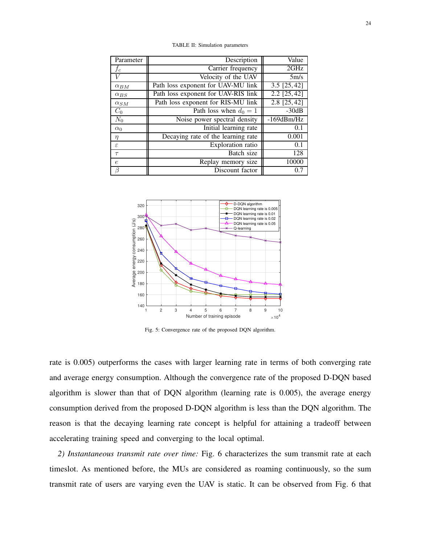| Parameter     | Description                         | Value            |
|---------------|-------------------------------------|------------------|
| fс            | Carrier frequency                   | 2GHz             |
|               | Velocity of the UAV                 | 5m/s             |
| $\alpha_{BM}$ | Path loss exponent for UAV-MU link  | $3.5$ [25, 42]   |
| $\alpha_{BS}$ | Path loss exponent for UAV-RIS link | $2.2$ [25, 42]   |
| $\alpha_{SM}$ | Path loss exponent for RIS-MU link  | 2.8 [25, 42]     |
| $C_{0}$       | Path loss when $d_0 = 1$            | $-30dB$          |
| $N_0$         | Noise power spectral density        | $-169$ d $Bm/Hz$ |
| $\alpha_0$    | Initial learning rate               | 0.1              |
| $\eta$        | Decaying rate of the learning rate  | 0.001            |
| $\varepsilon$ | Exploration ratio                   | 0.1              |
| $\tau$        | Batch size                          | 128              |
| $\epsilon$    | Replay memory size                  | 10000            |
| ß             | Discount factor                     | 0.7              |

TABLE II: Simulation parameters



Fig. 5: Convergence rate of the proposed DQN algorithm.

rate is 0.005) outperforms the cases with larger learning rate in terms of both converging rate and average energy consumption. Although the convergence rate of the proposed D-DQN based algorithm is slower than that of DQN algorithm (learning rate is 0.005), the average energy consumption derived from the proposed D-DQN algorithm is less than the DQN algorithm. The reason is that the decaying learning rate concept is helpful for attaining a tradeoff between accelerating training speed and converging to the local optimal.

*2) Instantaneous transmit rate over time:* Fig. 6 characterizes the sum transmit rate at each timeslot. As mentioned before, the MUs are considered as roaming continuously, so the sum transmit rate of users are varying even the UAV is static. It can be observed from Fig. 6 that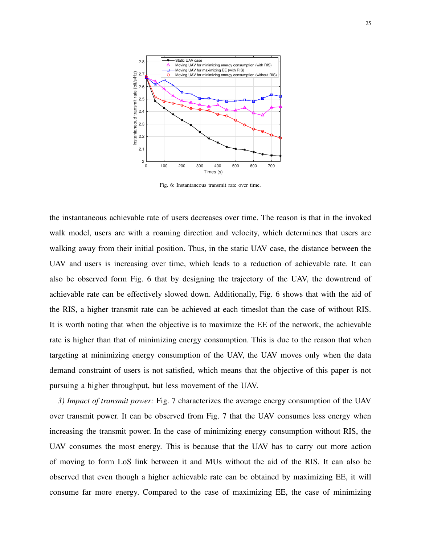

Fig. 6: Instantaneous transmit rate over time.

the instantaneous achievable rate of users decreases over time. The reason is that in the invoked walk model, users are with a roaming direction and velocity, which determines that users are walking away from their initial position. Thus, in the static UAV case, the distance between the UAV and users is increasing over time, which leads to a reduction of achievable rate. It can also be observed form Fig. 6 that by designing the trajectory of the UAV, the downtrend of achievable rate can be effectively slowed down. Additionally, Fig. 6 shows that with the aid of the RIS, a higher transmit rate can be achieved at each timeslot than the case of without RIS. It is worth noting that when the objective is to maximize the EE of the network, the achievable rate is higher than that of minimizing energy consumption. This is due to the reason that when targeting at minimizing energy consumption of the UAV, the UAV moves only when the data demand constraint of users is not satisfied, which means that the objective of this paper is not pursuing a higher throughput, but less movement of the UAV.

*3) Impact of transmit power:* Fig. 7 characterizes the average energy consumption of the UAV over transmit power. It can be observed from Fig. 7 that the UAV consumes less energy when increasing the transmit power. In the case of minimizing energy consumption without RIS, the UAV consumes the most energy. This is because that the UAV has to carry out more action of moving to form LoS link between it and MUs without the aid of the RIS. It can also be observed that even though a higher achievable rate can be obtained by maximizing EE, it will consume far more energy. Compared to the case of maximizing EE, the case of minimizing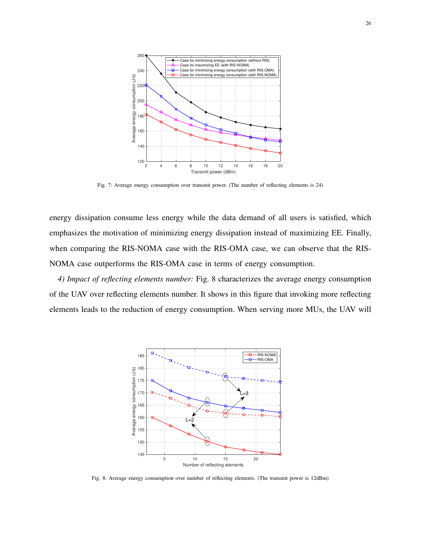

Fig. 7: Average energy consumption over transmit power. (The number of reflecting elements is 24)

energy dissipation consume less energy while the data demand of all users is satisfied, which emphasizes the motivation of minimizing energy dissipation instead of maximizing EE. Finally, when comparing the RIS-NOMA case with the RIS-OMA case, we can observe that the RIS-NOMA case outperforms the RIS-OMA case in terms of energy consumption.

*4) Impact of reflecting elements number:* Fig. 8 characterizes the average energy consumption of the UAV over reflecting elements number. It shows in this figure that invoking more reflecting elements leads to the reduction of energy consumption. When serving more MUs, the UAV will



Fig. 8: Average energy consumption over number of reflecting elements. (The transmit power is 12dBm)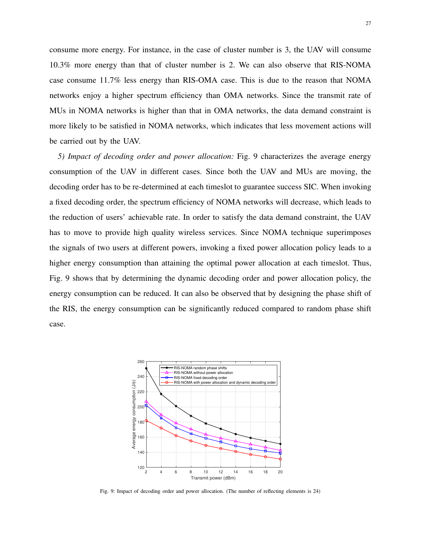consume more energy. For instance, in the case of cluster number is 3, the UAV will consume 10.3% more energy than that of cluster number is 2. We can also observe that RIS-NOMA case consume 11.7% less energy than RIS-OMA case. This is due to the reason that NOMA networks enjoy a higher spectrum efficiency than OMA networks. Since the transmit rate of MUs in NOMA networks is higher than that in OMA networks, the data demand constraint is more likely to be satisfied in NOMA networks, which indicates that less movement actions will be carried out by the UAV.

*5) Impact of decoding order and power allocation:* Fig. 9 characterizes the average energy consumption of the UAV in different cases. Since both the UAV and MUs are moving, the decoding order has to be re-determined at each timeslot to guarantee success SIC. When invoking a fixed decoding order, the spectrum efficiency of NOMA networks will decrease, which leads to the reduction of users' achievable rate. In order to satisfy the data demand constraint, the UAV has to move to provide high quality wireless services. Since NOMA technique superimposes the signals of two users at different powers, invoking a fixed power allocation policy leads to a higher energy consumption than attaining the optimal power allocation at each timeslot. Thus, Fig. 9 shows that by determining the dynamic decoding order and power allocation policy, the energy consumption can be reduced. It can also be observed that by designing the phase shift of the RIS, the energy consumption can be significantly reduced compared to random phase shift case.



Fig. 9: Impact of decoding order and power allocation. (The number of reflecting elements is 24)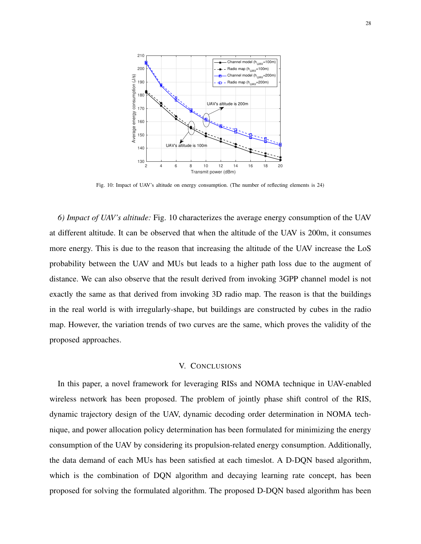

Fig. 10: Impact of UAV's altitude on energy consumption. (The number of reflecting elements is 24)

*6) Impact of UAV's altitude:* Fig. 10 characterizes the average energy consumption of the UAV at different altitude. It can be observed that when the altitude of the UAV is 200m, it consumes more energy. This is due to the reason that increasing the altitude of the UAV increase the LoS probability between the UAV and MUs but leads to a higher path loss due to the augment of distance. We can also observe that the result derived from invoking 3GPP channel model is not exactly the same as that derived from invoking 3D radio map. The reason is that the buildings in the real world is with irregularly-shape, but buildings are constructed by cubes in the radio map. However, the variation trends of two curves are the same, which proves the validity of the proposed approaches.

### V. CONCLUSIONS

In this paper, a novel framework for leveraging RISs and NOMA technique in UAV-enabled wireless network has been proposed. The problem of jointly phase shift control of the RIS, dynamic trajectory design of the UAV, dynamic decoding order determination in NOMA technique, and power allocation policy determination has been formulated for minimizing the energy consumption of the UAV by considering its propulsion-related energy consumption. Additionally, the data demand of each MUs has been satisfied at each timeslot. A D-DQN based algorithm, which is the combination of DQN algorithm and decaying learning rate concept, has been proposed for solving the formulated algorithm. The proposed D-DQN based algorithm has been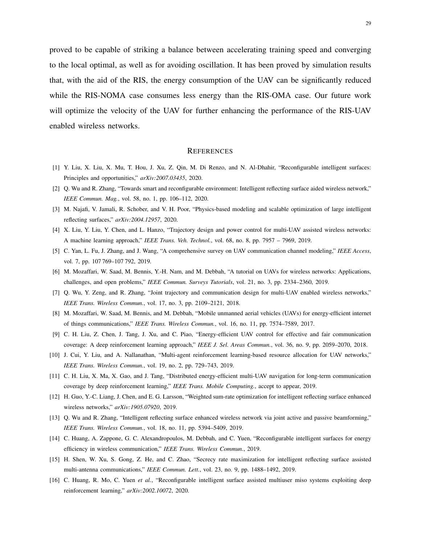proved to be capable of striking a balance between accelerating training speed and converging to the local optimal, as well as for avoiding oscillation. It has been proved by simulation results that, with the aid of the RIS, the energy consumption of the UAV can be significantly reduced while the RIS-NOMA case consumes less energy than the RIS-OMA case. Our future work will optimize the velocity of the UAV for further enhancing the performance of the RIS-UAV enabled wireless networks.

## **REFERENCES**

- [1] Y. Liu, X. Liu, X. Mu, T. Hou, J. Xu, Z. Qin, M. Di Renzo, and N. Al-Dhahir, "Reconfigurable intelligent surfaces: Principles and opportunities," *arXiv:2007.03435*, 2020.
- [2] Q. Wu and R. Zhang, "Towards smart and reconfigurable environment: Intelligent reflecting surface aided wireless network," *IEEE Commun. Mag.*, vol. 58, no. 1, pp. 106–112, 2020.
- [3] M. Najafi, V. Jamali, R. Schober, and V. H. Poor, "Physics-based modeling and scalable optimization of large intelligent reflecting surfaces," *arXiv:2004.12957*, 2020.
- [4] X. Liu, Y. Liu, Y. Chen, and L. Hanzo, "Trajectory design and power control for multi-UAV assisted wireless networks: A machine learning approach," *IEEE Trans. Veh. Technol.*, vol. 68, no. 8, pp. 7957 – 7969, 2019.
- [5] C. Yan, L. Fu, J. Zhang, and J. Wang, "A comprehensive survey on UAV communication channel modeling," *IEEE Access*, vol. 7, pp. 107 769-107 792, 2019.
- [6] M. Mozaffari, W. Saad, M. Bennis, Y.-H. Nam, and M. Debbah, "A tutorial on UAVs for wireless networks: Applications, challenges, and open problems," *IEEE Commun. Surveys Tutorials*, vol. 21, no. 3, pp. 2334–2360, 2019.
- [7] Q. Wu, Y. Zeng, and R. Zhang, "Joint trajectory and communication design for multi-UAV enabled wireless networks," *IEEE Trans. Wireless Commun.*, vol. 17, no. 3, pp. 2109–2121, 2018.
- [8] M. Mozaffari, W. Saad, M. Bennis, and M. Debbah, "Mobile unmanned aerial vehicles (UAVs) for energy-efficient internet of things communications," *IEEE Trans. Wireless Commun.*, vol. 16, no. 11, pp. 7574–7589, 2017.
- [9] C. H. Liu, Z. Chen, J. Tang, J. Xu, and C. Piao, "Energy-efficient UAV control for effective and fair communication coverage: A deep reinforcement learning approach," *IEEE J. Sel. Areas Commun.*, vol. 36, no. 9, pp. 2059–2070, 2018.
- [10] J. Cui, Y. Liu, and A. Nallanathan, "Multi-agent reinforcement learning-based resource allocation for UAV networks," *IEEE Trans. Wireless Commun.*, vol. 19, no. 2, pp. 729–743, 2019.
- [11] C. H. Liu, X. Ma, X. Gao, and J. Tang, "Distributed energy-efficient multi-UAV navigation for long-term communication coverage by deep reinforcement learning," *IEEE Trans. Mobile Computing.*, accept to appear, 2019.
- [12] H. Guo, Y.-C. Liang, J. Chen, and E. G. Larsson, "Weighted sum-rate optimization for intelligent reflecting surface enhanced wireless networks," *arXiv:1905.07920*, 2019.
- [13] Q. Wu and R. Zhang, "Intelligent reflecting surface enhanced wireless network via joint active and passive beamforming," *IEEE Trans. Wireless Commun.*, vol. 18, no. 11, pp. 5394–5409, 2019.
- [14] C. Huang, A. Zappone, G. C. Alexandropoulos, M. Debbah, and C. Yuen, "Reconfigurable intelligent surfaces for energy efficiency in wireless communication," *IEEE Trans. Wireless Commun.*, 2019.
- [15] H. Shen, W. Xu, S. Gong, Z. He, and C. Zhao, "Secrecy rate maximization for intelligent reflecting surface assisted multi-antenna communications," *IEEE Commun. Lett.*, vol. 23, no. 9, pp. 1488–1492, 2019.
- [16] C. Huang, R. Mo, C. Yuen *et al.*, "Reconfigurable intelligent surface assisted multiuser miso systems exploiting deep reinforcement learning," *arXiv:2002.10072*, 2020.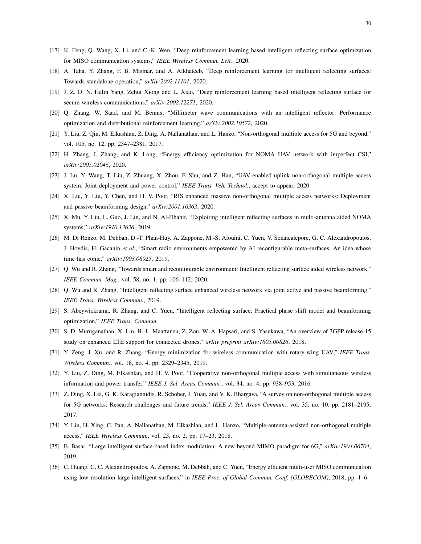- [17] K. Feng, Q. Wang, X. Li, and C.-K. Wen, "Deep reinforcement learning based intelligent reflecting surface optimization for MISO communication systems," *IEEE Wireless Commun. Lett.*, 2020.
- [18] A. Taha, Y. Zhang, F. B. Mismar, and A. Alkhateeb, "Deep reinforcement learning for intelligent reflecting surfaces: Towards standalone operation," *arXiv:2002.11101*, 2020.
- [19] J. Z. D. N. Helin Yang, Zehui Xiong and L. Xiao, "Deep reinforcement learning based intelligent reflecting surface for secure wireless communications," *arXiv:2002.12271*, 2020.
- [20] Q. Zhang, W. Saad, and M. Bennis, "Millimeter wave communications with an intelligent reflector: Performance optimization and distributional reinforcement learning," *arXiv:2002.10572*, 2020.
- [21] Y. Liu, Z. Qin, M. Elkashlan, Z. Ding, A. Nallanathan, and L. Hanzo, "Non-orthogonal multiple access for 5G and beyond," vol. 105, no. 12, pp. 2347–2381, 2017.
- [22] H. Zhang, J. Zhang, and K. Long, "Energy efficiency optimization for NOMA UAV network with imperfect CSI," *arXiv:2005.02046*, 2020.
- [23] J. Lu, Y. Wang, T. Liu, Z. Zhuang, X. Zhou, F. Shu, and Z. Han, "UAV-enabled uplink non-orthogonal multiple access system: Joint deployment and power control," *IEEE Trans. Veh. Technol.*, accept to appear, 2020.
- [24] X. Liu, Y. Liu, Y. Chen, and H. V. Poor, "RIS enhanced massive non-orthogonal multiple access networks: Deployment and passive beamforming design," *arXiv:2001.10363*, 2020.
- [25] X. Mu, Y. Liu, L. Guo, J. Lin, and N. Al-Dhahir, "Exploiting intelligent reflecting surfaces in multi-antenna aided NOMA systems," *arXiv:1910.13636*, 2019.
- [26] M. Di Renzo, M. Debbah, D.-T. Phan-Huy, A. Zappone, M.-S. Alouini, C. Yuen, V. Sciancalepore, G. C. Alexandropoulos, J. Hoydis, H. Gacanin *et al.*, "Smart radio environments empowered by AI reconfigurable meta-surfaces: An idea whose time has come," *arXiv:1903.08925*, 2019.
- [27] Q. Wu and R. Zhang, "Towards smart and reconfigurable environment: Intelligent reflecting surface aided wireless network," *IEEE Commun. Mag.*, vol. 58, no. 1, pp. 106–112, 2020.
- [28] Q. Wu and R. Zhang, "Intelligent reflecting surface enhanced wireless network via joint active and passive beamforming," *IEEE Trans. Wireless Commun.*, 2019.
- [29] S. Abeywickrama, R. Zhang, and C. Yuen, "Intelligent reflecting surface: Practical phase shift model and beamforming optimization," *IEEE Trans. Commun.*
- [30] S. D. Muruganathan, X. Lin, H.-L. Maattanen, Z. Zou, W. A. Hapsari, and S. Yasukawa, "An overview of 3GPP release-15 study on enhanced LTE support for connected drones," *arXiv preprint arXiv:1805.00826*, 2018.
- [31] Y. Zeng, J. Xu, and R. Zhang, "Energy minimization for wireless communication with rotary-wing UAV," *IEEE Trans. Wireless Commun.*, vol. 18, no. 4, pp. 2329–2345, 2019.
- [32] Y. Liu, Z. Ding, M. Elkashlan, and H. V. Poor, "Cooperative non-orthogonal multiple access with simultaneous wireless information and power transfer," *IEEE J. Sel. Areas Commun.*, vol. 34, no. 4, pp. 938–953, 2016.
- [33] Z. Ding, X. Lei, G. K. Karagiannidis, R. Schober, J. Yuan, and V. K. Bhargava, "A survey on non-orthogonal multiple access for 5G networks: Research challenges and future trends," *IEEE J. Sel. Areas Commun.*, vol. 35, no. 10, pp. 2181–2195, 2017.
- [34] Y. Liu, H. Xing, C. Pan, A. Nallanathan, M. Elkashlan, and L. Hanzo, "Multiple-antenna-assisted non-orthogonal multiple access," *IEEE Wireless Commun.*, vol. 25, no. 2, pp. 17–23, 2018.
- [35] E. Basar, "Large intelligent surface-based index modulation: A new beyond MIMO paradigm for 6G," *arXiv:1904.06704*, 2019.
- [36] C. Huang, G. C. Alexandropoulos, A. Zappone, M. Debbah, and C. Yuen, "Energy efficient multi-user MISO communication using low resolution large intelligent surfaces," in *IEEE Proc. of Global Commun. Conf. (GLOBECOM)*, 2018, pp. 1–6.